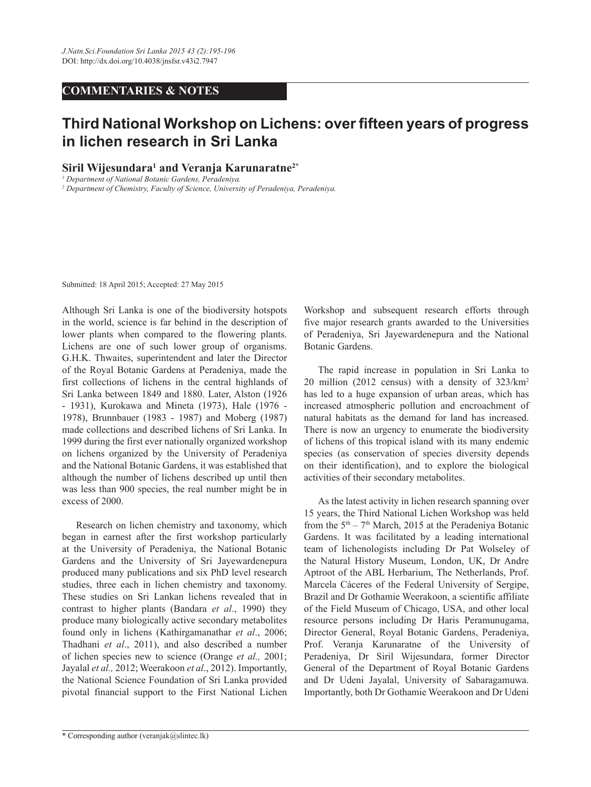## **COMMENTARIES & NOTES**

## **Third National Workshop on Lichens: over fifteen years of progress in lichen research in Sri Lanka**

**Siril Wijesundara1 and Veranja Karunaratne2\***

*1 Department of National Botanic Gardens, Peradeniya.*

*2 Department of Chemistry, Faculty of Science, University of Peradeniya, Peradeniya.*

Submitted: 18 April 2015; Accepted: 27 May 2015

Although Sri Lanka is one of the biodiversity hotspots in the world, science is far behind in the description of lower plants when compared to the flowering plants. Lichens are one of such lower group of organisms. G.H.K. Thwaites, superintendent and later the Director of the Royal Botanic Gardens at Peradeniya, made the first collections of lichens in the central highlands of Sri Lanka between 1849 and 1880. Later, Alston (1926 - 1931), Kurokawa and Mineta (1973), Hale (1976 - 1978), Brunnbauer (1983 - 1987) and Moberg (1987) made collections and described lichens of Sri Lanka. In 1999 during the first ever nationally organized workshop on lichens organized by the University of Peradeniya and the National Botanic Gardens, it was established that although the number of lichens described up until then was less than 900 species, the real number might be in excess of 2000.

Research on lichen chemistry and taxonomy, which began in earnest after the first workshop particularly at the University of Peradeniya, the National Botanic Gardens and the University of Sri Jayewardenepura produced many publications and six PhD level research studies, three each in lichen chemistry and taxonomy. These studies on Sri Lankan lichens revealed that in contrast to higher plants (Bandara *et al*., 1990) they produce many biologically active secondary metabolites found only in lichens (Kathirgamanathar *et al*., 2006; Thadhani *et al*., 2011), and also described a number of lichen species new to science (Orange *et al.,* 2001; Jayalal *et al.,* 2012; Weerakoon *et al*., 2012). Importantly, the National Science Foundation of Sri Lanka provided pivotal financial support to the First National Lichen

Workshop and subsequent research efforts through five major research grants awarded to the Universities of Peradeniya, Sri Jayewardenepura and the National Botanic Gardens.

The rapid increase in population in Sri Lanka to 20 million (2012 census) with a density of 323/km2 has led to a huge expansion of urban areas, which has increased atmospheric pollution and encroachment of natural habitats as the demand for land has increased. There is now an urgency to enumerate the biodiversity of lichens of this tropical island with its many endemic species (as conservation of species diversity depends on their identification), and to explore the biological activities of their secondary metabolites.

As the latest activity in lichen research spanning over 15 years, the Third National Lichen Workshop was held from the  $5<sup>th</sup> - 7<sup>th</sup>$  March, 2015 at the Peradeniya Botanic Gardens. It was facilitated by a leading international team of lichenologists including Dr Pat Wolseley of the Natural History Museum, London, UK, Dr Andre Aptroot of the ABL Herbarium, The Netherlands, Prof. Marcela Cáceres of the Federal University of Sergipe, Brazil and Dr Gothamie Weerakoon, a scientific affiliate of the Field Museum of Chicago, USA, and other local resource persons including Dr Haris Peramunugama, Director General, Royal Botanic Gardens, Peradeniya, Prof. Veranja Karunaratne of the University of Peradeniya, Dr Siril Wijesundara, former Director General of the Department of Royal Botanic Gardens and Dr Udeni Jayalal, University of Sabaragamuwa. Importantly, both Dr Gothamie Weerakoon and Dr Udeni